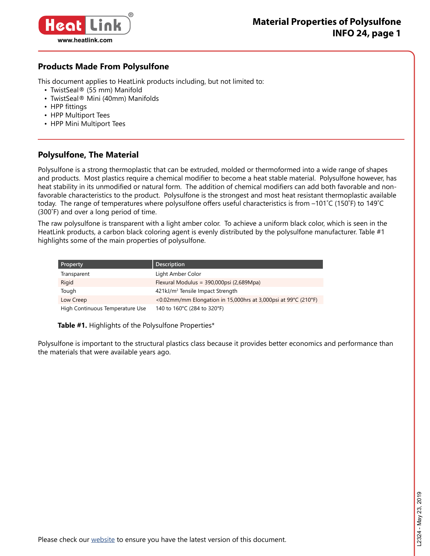

### **Products Made From Polysulfone**

This document applies to HeatLink products including, but not limited to:

- TwistSeal® (55 mm) Manifold
- TwistSeal® Mini (40mm) Manifolds
- HPP fittings
- HPP Multiport Tees
- HPP Mini Multiport Tees

### **Polysulfone, The Material**

Polysulfone is a strong thermoplastic that can be extruded, molded or thermoformed into a wide range of shapes and products. Most plastics require a chemical modifier to become a heat stable material. Polysulfone however, has heat stability in its unmodified or natural form. The addition of chemical modifiers can add both favorable and nonfavorable characteristics to the product. Polysulfone is the strongest and most heat resistant thermoplastic available today. The range of temperatures where polysulfone offers useful characteristics is from –101˚C (150˚F) to 149˚C (300˚F) and over a long period of time.

The raw polysulfone is transparent with a light amber color. To achieve a uniform black color, which is seen in the HeatLink products, a carbon black coloring agent is evenly distributed by the polysulfone manufacturer. Table #1 highlights some of the main properties of polysulfone.

| <b>Property</b>                 | <b>Description</b>                                             |
|---------------------------------|----------------------------------------------------------------|
| Transparent                     | Light Amber Color                                              |
| Rigid                           | Flexural Modulus = 390,000psi (2,689Mpa)                       |
| Tough                           | 421kJ/m <sup>2</sup> Tensile Impact Strength                   |
| Low Creep                       | <0.02mm/mm Elongation in 15,000hrs at 3,000psi at 99°C (210°F) |
| High Continuous Temperature Use | 140 to 160°C (284 to 320°F)                                    |

**Table #1.** Highlights of the Polysulfone Properties\*

Polysulfone is important to the structural plastics class because it provides better economics and performance than the materials that were available years ago.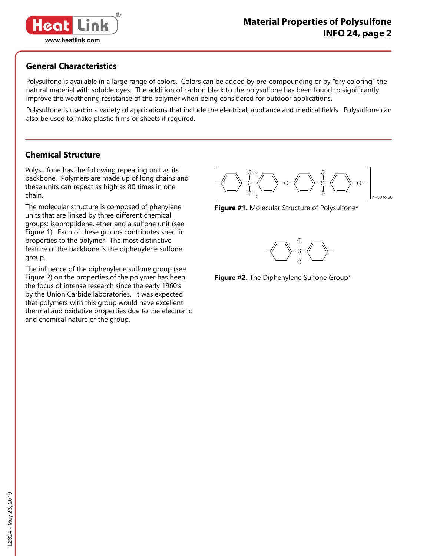

### **General Characteristics**

Polysulfone is available in a large range of colors. Colors can be added by pre-compounding or by "dry coloring" the natural material with soluble dyes. The addition of carbon black to the polysulfone has been found to significantly improve the weathering resistance of the polymer when being considered for outdoor applications.

Polysulfone is used in a variety of applications that include the electrical, appliance and medical fields. Polysulfone can also be used to make plastic films or sheets if required.

### **Chemical Structure**

Polysulfone has the following repeating unit as its backbone. Polymers are made up of long chains and these units can repeat as high as 80 times in one chain.

The molecular structure is composed of phenylene units that are linked by three different chemical groups: isoproplidene, ether and a sulfone unit (see Figure 1). Each of these groups contributes specific properties to the polymer. The most distinctive feature of the backbone is the diphenylene sulfone group.

The influence of the diphenylene sulfone group (see Figure 2) on the properties of the polymer has been the focus of intense research since the early 1960's by the Union Carbide laboratories. It was expected that polymers with this group would have excellent thermal and oxidative properties due to the electronic and chemical nature of the group.







**Figure #2.** The Diphenylene Sulfone Group\*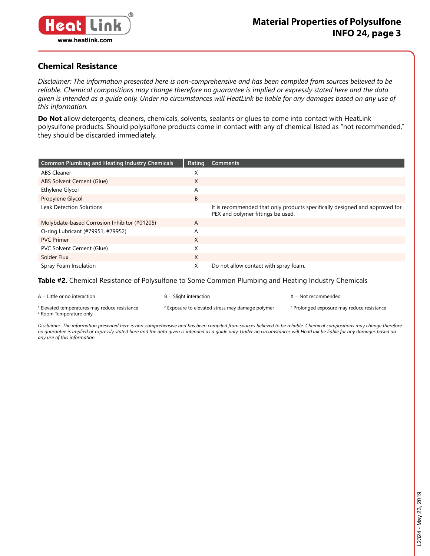

### **Chemical Resistance**

*Disclaimer: The information presented here is non-comprehensive and has been compiled from sources believed to be reliable. Chemical compositions may change therefore no guarantee is implied or expressly stated here and the data given is intended as a guide only. Under no circumstances will HeatLink be liable for any damages based on any use of this information.*

**Do Not** allow detergents, cleaners, chemicals, solvents, sealants or glues to come into contact with HeatLink polysulfone products. Should polysulfone products come in contact with any of chemical listed as "not recommended," they should be discarded immediately.

| <b>Common Plumbing and Heating Industry Chemicals</b> | Rating | <b>Comments</b>                                                                                                  |
|-------------------------------------------------------|--------|------------------------------------------------------------------------------------------------------------------|
| <b>ABS Cleaner</b>                                    | X      |                                                                                                                  |
| ABS Solvent Cement (Glue)                             | X      |                                                                                                                  |
| Ethylene Glycol                                       | Α      |                                                                                                                  |
| Propylene Glycol                                      | B      |                                                                                                                  |
| <b>Leak Detection Solutions</b>                       |        | It is recommended that only products specifically designed and approved for<br>PEX and polymer fittings be used. |
| Molybdate-based Corrosion Inhibitor (#01205)          | A      |                                                                                                                  |
| O-ring Lubricant (#79951, #79952)                     | Α      |                                                                                                                  |
| <b>PVC Primer</b>                                     | X      |                                                                                                                  |
| PVC Solvent Cement (Glue)                             | X      |                                                                                                                  |
| Solder Flux                                           | X      |                                                                                                                  |
| Spray Foam Insulation                                 | X      | Do not allow contact with spray foam.                                                                            |

#### **Table #2.** Chemical Resistance of Polysulfone to Some Common Plumbing and Heating Industry Chemicals

| $A =$ Little or no interaction                                                                 | $B =$ Slight interaction                                    | X = Not recommended                                   |
|------------------------------------------------------------------------------------------------|-------------------------------------------------------------|-------------------------------------------------------|
| <sup>1</sup> Elevated temperatures may reduce resistance<br><sup>4</sup> Room Temperature only | <sup>2</sup> Exposure to elevated stress may damage polymer | <sup>3</sup> Prolonged exposure may reduce resistance |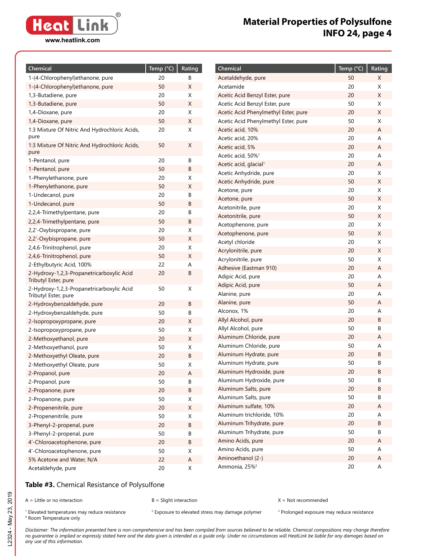#### **www.heatlink.com**

# **Material Properties of Polysulfone INFO 24, page 4**

| Chemical                                                          | Temp (°C) | Rating |
|-------------------------------------------------------------------|-----------|--------|
| 1-(4-Chlorophenyl)ethanone, pure                                  | 20        | В      |
| 1-(4-Chlorophenyl)ethanone, pure                                  | 50        | X      |
| 1,3-Butadiene, pure                                               | 20        | X      |
| 1,3-Butadiene, pure                                               | 50        | X      |
| 1,4-Dioxane, pure                                                 | 20        | X      |
| 1,4-Dioxane, pure                                                 | 50        | X      |
| 1:3 Mixture Of Nitric And Hydrochloric Acids,                     | 20        | X      |
| pure<br>1:3 Mixture Of Nitric And Hydrochloric Acids,             | 50        | Χ      |
| pure                                                              |           |        |
| 1-Pentanol, pure                                                  | 20        | В      |
| 1-Pentanol, pure                                                  | 50        | В      |
| 1-Phenylethanone, pure                                            | 20        | X      |
| 1-Phenylethanone, pure                                            | 50        | Χ      |
| 1-Undecanol, pure                                                 | 20        | В      |
| 1-Undecanol, pure                                                 | 50        | В      |
| 2,2,4-Trimethylpentane, pure                                      | 20        | В      |
| 2,2,4-Trimethylpentane, pure                                      | 50        | В      |
| 2,2'-Oxybispropane, pure                                          | 20        | X      |
| 2,2'-Oxybispropane, pure                                          | 50        | X      |
| 2,4,6-Trinitrophenol, pure                                        | 20        | Χ      |
| 2,4,6-Trinitrophenol, pure                                        | 50        | X      |
| 2-Ethylbutyric Acid, 100%                                         | 22        | A      |
| 2-Hydroxy-1,2,3-Propanetricarboxylic Acid<br>Tributyl Ester, pure | 20        | В      |
| 2-Hydroxy-1,2,3-Propanetricarboxylic Acid<br>Tributyl Ester, pure | 50        | X      |
| 2-Hydroxybenzaldehyde, pure                                       | 20        | В      |
| 2-Hydroxybenzaldehyde, pure                                       | 50        | В      |
| 2-Isopropoxypropane, pure                                         | 20        | X      |
| 2-Isopropoxypropane, pure                                         | 50        | X      |
| 2-Methoxyethanol, pure                                            | 20        | X      |
| 2-Methoxyethanol, pure                                            | 50        | Χ      |
| 2-Methoxyethyl Oleate, pure                                       | 20        | В      |
| 2-Methoxyethyl Oleate, pure                                       | 50        | X      |
| 2-Propanol, pure                                                  | 20        | A      |
| 2-Propanol, pure                                                  | 50        | В      |
| 2-Propanone, pure                                                 | 20        | B      |
| 2-Propanone, pure                                                 | 50        | Χ      |
| 2-Propenenitrile, pure                                            | 20        | Χ      |
| 2-Propenenitrile, pure                                            | 50        | Χ      |
| 3-Phenyl-2-propenal, pure                                         | 20        | B      |
| 3-Phenyl-2-propenal, pure                                         | 50        | В      |
| 4'-Chloroacetophenone, pure                                       | 20        | В      |
| 4'-Chloroacetophenone, pure                                       | 50        | Χ      |
| 5% Acetone and Water, N/A                                         | 22        | Α      |
| Acetaldehyde, pure                                                | 20        | Χ      |

| Chemical                                      | Temp (°C) | Rating |
|-----------------------------------------------|-----------|--------|
| Acetaldehyde, pure                            | 50        | Χ      |
| Acetamide                                     | 20        | X      |
| Acetic Acid Benzyl Ester, pure                | 20        | Χ      |
| Acetic Acid Benzyl Ester, pure                | 50        | Χ      |
| Acetic Acid Phenylmethyl Ester, pure          | 20        | X      |
| Acetic Acid Phenylmethyl Ester, pure          | 50        | Χ      |
| Acetic acid, 10%                              | 20        | A      |
| Acetic acid, 20%                              | 20        | A      |
| Acetic acid, 5%                               | 20        | Α      |
| Acetic acid, 50% <sup>1</sup>                 | 20        | A      |
| Acetic acid, glacial <sup>1</sup>             | 20        | А      |
| Acetic Anhydride, pure                        | 20        | Χ      |
| Acetic Anhydride, pure                        | 50        | Χ      |
| Acetone, pure                                 | 20        | Χ      |
| Acetone, pure                                 | 50        | Χ      |
| Acetonitrile, pure                            | 20        | Χ      |
| Acetonitrile, pure                            | 50        | Χ      |
| Acetophenone, pure                            | 20        | Χ      |
| Acetophenone, pure                            | 50        | Χ      |
| Acetyl chloride                               | 20        | Χ      |
| Acrylonitrile, pure                           | 20        | Χ      |
| Acrylonitrile, pure                           | 50        | Χ      |
| Adhesive (Eastman 910)                        | 20        | Α      |
| Adipic Acid, pure                             | 20        | A      |
| Adipic Acid, pure                             | 50        | A      |
| Alanine, pure                                 | 20        | A      |
| Alanine, pure                                 | 50        | A      |
| Alconox, 1%                                   | 20        | A      |
| Allyl Alcohol, pure                           | 20        | В      |
| Allyl Alcohol, pure                           | 50        | В      |
| Aluminum Chloride, pure                       | 20        | Α      |
| Aluminum Chloride, pure                       | 50        | A      |
| Aluminum Hydrate, pure                        | 20        | В      |
| Aluminum Hydrate, pure                        | 50        | В      |
| Aluminum Hydroxide, pure                      | 20        | B      |
| Aluminum Hydroxide, pure                      | 50<br>20  | В<br>В |
| Aluminum Salts, pure                          | 50        |        |
| Aluminum Salts, pure<br>Aluminum sulfate, 10% |           | В      |
| Aluminum trichloride, 10%                     | 20<br>20  | Α<br>А |
| Aluminum Trihydrate, pure                     | 20        | B      |
| Aluminum Trihydrate, pure                     | 50        | B      |
| Amino Acids, pure                             | 20        | Α      |
| Amino Acids, pure                             | 50        | Α      |
| Aminoethanol (2-)                             | 20        | Α      |
| Ammonia, 25% <sup>2</sup>                     | 20        | А      |
|                                               |           |        |

#### **Table #3.** Chemical Resistance of Polysulfone

A = Little or no interaction B = Slight interaction X = Not recommended

 $1$  Elevated temperatures may reduce resistance  $2$ <sup>1</sup> Elevated temperatures may reduce resistance and a <sup>2</sup> Exposure to elevated stress may damage polymer and Prolonged exposure may reduce resistance and the stress may reduce resistance and the stress and the stress are a <sup>4</sup> Room Temperature only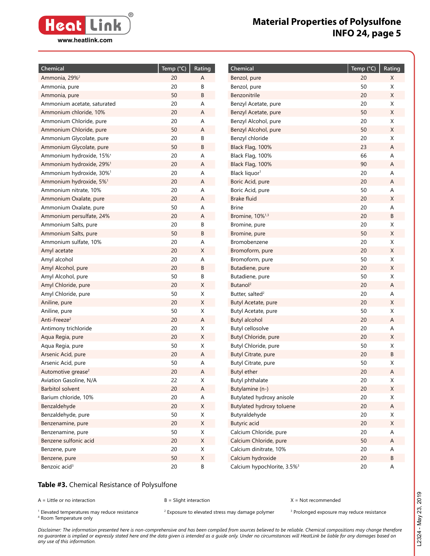

| Chemical                             | $\overline{\mathsf{Temp}}$ (°C) | Rating      | Chemical                                | Temp (°C) | Rating      |
|--------------------------------------|---------------------------------|-------------|-----------------------------------------|-----------|-------------|
| Ammonia, 29% <sup>2</sup>            | 20                              | A           | Benzol, pure                            | 20        | X           |
| Ammonia, pure                        | 20                              | B           | Benzol, pure                            | 50        | X           |
| Ammonia, pure                        | 50                              | B           | Benzonitrile                            | 20        | X           |
| Ammonium acetate, saturated          | 20                              | Α           | Benzyl Acetate, pure                    | 20        | X           |
| Ammonium chloride, 10%               | 20                              | A           | Benzyl Acetate, pure                    | 50        | X           |
| Ammonium Chloride, pure              | 20                              | Α           | Benzyl Alcohol, pure                    | 20        | X           |
| Ammonium Chloride, pure              | 50                              | A           | Benzyl Alcohol, pure                    | 50        | $\mathsf X$ |
| Ammonium Glycolate, pure             | 20                              | В           | Benzyl chloride                         | 20        | X           |
| Ammonium Glycolate, pure             | 50                              | B           | Black Flag, 100%                        | 23        | Α           |
| Ammonium hydroxide, 15% <sup>1</sup> | 20                              | Α           | Black Flag, 100%                        | 66        | A           |
| Ammonium hydroxide, 29% <sup>1</sup> | 20                              | A           | Black Flag, 100%                        | 90        | A           |
| Ammonium hydroxide, 30% <sup>1</sup> | 20                              | Α           | Black liquor <sup>1</sup>               | 20        | A           |
| Ammonium hydroxide, 5% <sup>1</sup>  | 20                              | A           | Boric Acid, pure                        | 20        | A           |
| Ammonium nitrate, 10%                | 20                              | Α           | Boric Acid, pure                        | 50        | Α           |
| Ammonium Oxalate, pure               | 20                              | A           | <b>Brake fluid</b>                      | 20        | X           |
| Ammonium Oxalate, pure               | 50                              | Α           | <b>Brine</b>                            | 20        | Α           |
| Ammonium persulfate, 24%             | 20                              | Α           | Bromine, 10% <sup>1,3</sup>             | 20        | В           |
| Ammonium Salts, pure                 | 20                              | В           | Bromine, pure                           | 20        | Χ           |
| Ammonium Salts, pure                 | 50                              | B           | Bromine, pure                           | 50        | $\mathsf X$ |
| Ammonium sulfate, 10%                | 20                              | Α           | Bromobenzene                            | 20        | X           |
| Amyl acetate                         | 20                              | X           | Bromoform, pure                         | 20        | $\mathsf X$ |
| Amyl alcohol                         | 20                              | А           | Bromoform, pure                         | 50        | X           |
| Amyl Alcohol, pure                   | 20                              | B           | Butadiene, pure                         | 20        | X           |
| Amyl Alcohol, pure                   | 50                              | B           | Butadiene, pure                         | 50        | Χ           |
| Amyl Chloride, pure                  | 20                              | X           | Butanol <sup>2</sup>                    | 20        | Α           |
| Amyl Chloride, pure                  | 50                              | $\mathsf X$ | Butter, salted <sup>2</sup>             | 20        | Α           |
| Aniline, pure                        | 20                              | X           | Butyl Acetate, pure                     | 20        | $\mathsf X$ |
| Aniline, pure                        | 50                              | X           | Butyl Acetate, pure                     | 50        | X           |
| Anti-Freeze <sup>2</sup>             | 20                              | A           | <b>Butyl alcohol</b>                    | 20        | Α           |
| Antimony trichloride                 | 20                              | X           | Butyl cellosolve                        | 20        | Α           |
| Aqua Regia, pure                     | 20                              | $\mathsf X$ | Butyl Chloride, pure                    | 20        | X           |
| Aqua Regia, pure                     | 50                              | X           | Butyl Chloride, pure                    | 50        | Χ           |
| Arsenic Acid, pure                   | 20                              | Α           | Butyl Citrate, pure                     | 20        | В           |
| Arsenic Acid, pure                   | 50                              | Α           | Butyl Citrate, pure                     | 50        | Χ           |
| Automotive grease <sup>2</sup>       | 20                              | Α           | Butyl ether                             | 20        | Α           |
| Aviation Gasoline, N/A               | 22                              | $\mathsf X$ | <b>Butyl phthalate</b>                  | 20        | $\mathsf X$ |
| <b>Barbitol solvent</b>              | 20                              | A           | Butylamine (n-)                         | 20        | $\mathsf X$ |
| Barium chloride, 10%                 | $20\,$                          | $\mathsf A$ | Butylated hydroxy anisole               | 20        | X           |
| Benzaldehyde                         | 20                              | $\mathsf X$ | Butylated hydroxy toluene               | 20        | A           |
| Benzaldehyde, pure                   | 50                              | X           | Butyraldehyde                           | 20        | X           |
| Benzenamine, pure                    | $20\,$                          | $\mathsf X$ | <b>Butyric</b> acid                     | 20        | $\mathsf X$ |
| Benzenamine, pure                    | 50                              | $\mathsf X$ | Calcium Chloride, pure                  | 20        | Α           |
| Benzene sulfonic acid                | $20\,$                          | $\mathsf X$ | Calcium Chloride, pure                  | 50        | A           |
| Benzene, pure                        | $20\,$                          | $\mathsf X$ | Calcium dinitrate, 10%                  | 20        | A           |
| Benzene, pure                        | $50\,$                          | $\mathsf X$ | Calcium hydroxide                       | 20        | В           |
| Benzoic acid <sup>3</sup>            | $20\,$                          | В           | Calcium hypochlorite, 3.5% <sup>3</sup> | $20\,$    | A           |

#### **Table #3.** Chemical Resistance of Polysulfone

A = Little or no interaction B = Slight interaction X = Not recommended

 $1$  Elevated temperatures may reduce resistance  $2$ <sup>1</sup> Elevated temperatures may reduce resistance and a <sup>2</sup> Exposure to elevated stress may damage polymer and Prolonged exposure may reduce resistance and the stress may reduce resistance and the stress and the stress are a <sup>4</sup> Room Temperature only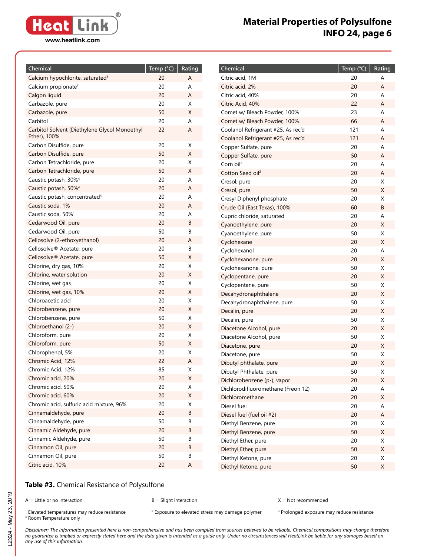**® Heat Link www.heatlink.com**

# **Material Properties of Polysulfone INFO 24, page 6**

| Chemical                                                      | Temp (°C) | Rating |
|---------------------------------------------------------------|-----------|--------|
| Calcium hypochlorite, saturated <sup>3</sup>                  | 20        | Α      |
| Calcium propionate <sup>2</sup>                               | 20        | A      |
| Calgon liquid                                                 | 20        | A      |
| Carbazole, pure                                               | 20        | X      |
| Carbazole, pure                                               | 50        | X      |
| Carbitol                                                      | 20        | A      |
| Carbitol Solvent (Diethylene Glycol Monoethyl<br>Ether), 100% | 22        | A      |
| Carbon Disulfide, pure                                        | 20        | X      |
| Carbon Disulfide, pure                                        | 50        | Χ      |
| Carbon Tetrachloride, pure                                    | 20        | X      |
| Carbon Tetrachloride, pure                                    | 50        | Χ      |
| Caustic potash, 30% <sup>4</sup>                              | 20        | A      |
| Caustic potash, 50% <sup>4</sup>                              | 20        | A      |
| Caustic potash, concentrated <sup>4</sup>                     | 20        | A      |
| Caustic soda, 1%                                              | 20        | A      |
| Caustic soda, 50% <sup>1</sup>                                | 20        | A      |
| Cedarwood Oil, pure                                           | 20        | B      |
| Cedarwood Oil, pure                                           | 50        | В      |
| Cellosolve (2-ethoxyethanol)                                  | 20        | A      |
| Cellosolve <sup>®</sup> Acetate, pure                         | 20        | В      |
| Cellosolve <sup>®</sup> Acetate, pure                         | 50        | Χ      |
| Chlorine, dry gas, 10%                                        | 20        | Χ      |
| Chlorine, water solution                                      | 20        | Χ      |
| Chlorine, wet gas                                             | 20        | Χ      |
| Chlorine, wet gas, 10%                                        | 20        | Χ      |
| Chloroacetic acid                                             | 20        | Χ      |
| Chlorobenzene, pure                                           | 20        | Χ      |
| Chlorobenzene, pure                                           | 50        | Χ      |
| Chloroethanol (2-)                                            | 20        | Χ      |
| Chloroform, pure                                              | 20        | Χ      |
| Chloroform, pure                                              | 50        | Χ      |
| Chlorophenol, 5%                                              | 20        | Χ      |
| Chromic Acid, 12%                                             | 22        | Α      |
| Chromic Acid, 12%                                             | 85        | Χ      |
| Chromic acid, 20%                                             | 20        | Χ      |
| Chromic acid, 50%                                             | 20        | Χ      |
| Chromic acid, 60%                                             | 20        | Χ      |
| Chromic acid, sulfuric acid mixture, 96%                      | 20        | X      |
| Cinnamaldehyde, pure                                          | 20        | В      |
| Cinnamaldehyde, pure                                          | 50        | В      |
| Cinnamic Aldehyde, pure                                       | 20        | В      |
| Cinnamic Aldehyde, pure                                       | 50        | В      |
| Cinnamon Oil, pure                                            | 20        | В      |
| Cinnamon Oil, pure                                            | 50        | В      |
| Citric acid, 10%                                              | 20        | А      |

| Chemical                                     | Temp (°C) | Rating |
|----------------------------------------------|-----------|--------|
| Citric acid, 1M                              | 20        | A      |
| Citric acid, 2%                              | 20        | A      |
| Citric acid, 40%                             | 20        | A      |
| Citric Acid, 40%                             | 22        | А      |
| Comet w/ Bleach Powder, 100%                 | 23        | A      |
| Comet w/ Bleach Powder, 100%                 | 66        | A      |
| Coolanol Refrigerant #25, As rec'd           | 121       | A      |
| Coolanol Refrigerant #25, As rec'd           | 121       | A      |
| Copper Sulfate, pure                         | 20        | Α      |
| Copper Sulfate, pure                         | 50        | A      |
| Corn oil <sup>2</sup>                        | 20        | A      |
| Cotton Seed oil <sup>2</sup>                 | 20        | Α      |
| Cresol, pure                                 | 20        | X      |
| Cresol, pure                                 | 50        | Χ      |
| Cresyl Diphenyl phosphate                    | 20        | Χ      |
| Crude Oil (East Texas), 100%                 | 60        | В      |
| Cupric chloride, saturated                   | 20        | A      |
| Cyanoethylene, pure                          | 20        | Χ      |
| Cyanoethylene, pure                          | 50        | Χ      |
| Cyclohexane                                  | 20        | Χ      |
| Cyclohexanol                                 | 20        | A      |
| Cyclohexanone, pure                          | 20        | X      |
| Cyclohexanone, pure                          | 50        | X      |
| Cyclopentane, pure                           | 20        | Χ      |
| Cyclopentane, pure                           | 50        | X      |
| Decahydronaphthalene                         | 20        | X      |
| Decahydronaphthalene, pure                   | 50        | X      |
| Decalin, pure                                | 20        | Χ      |
| Decalin, pure                                | 50        | Χ      |
| Diacetone Alcohol, pure                      | 20        | Χ      |
| Diacetone Alcohol, pure                      | 50        | X      |
| Diacetone, pure                              | 20        | Χ      |
| Diacetone, pure                              | 50        | Χ      |
| Dibutyl phthalate, pure                      | 20        | Χ      |
| Dibutyl Phthalate, pure                      | 50        | Χ      |
| Dichlorobenzene (p-), vapor                  | 20        | Χ      |
| Dichlorodifluoromethane (Freon 12)           | 20        | А      |
| Dichloromethane                              | 20        | Χ      |
| Diesel fuel                                  | 20<br>20  | A<br>Α |
| Diesel fuel (fuel oil #2)                    | 20        | Χ      |
| Diethyl Benzene, pure                        |           |        |
| Diethyl Benzene, pure<br>Diethyl Ether, pure | 50<br>20  | Χ<br>Χ |
| Diethyl Ether, pure                          | 50        | Χ      |
| Diethyl Ketone, pure                         | 20        | Χ      |
| Diethyl Ketone, pure                         | 50        | Χ      |
|                                              |           |        |

### **Table #3.** Chemical Resistance of Polysulfone

A = Little or no interaction B = Slight interaction X = Not recommended

 $1$  Elevated temperatures may reduce resistance  $2$ <sup>1</sup> Elevated temperatures may reduce resistance and a <sup>2</sup> Exposure to elevated stress may damage polymer and Prolonged exposure may reduce resistance and the stress may reduce resistance and the stress and the stress are a <sup>4</sup> Room Temperature only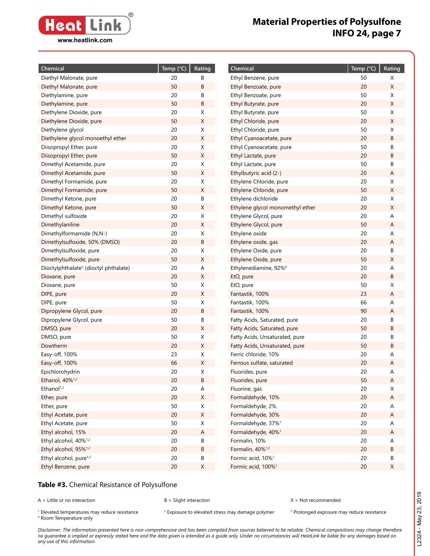

| Chemical<br>Temp $(^{\circ}C)$<br>Rating<br>Chemical                                              | Temp (°C) | Rating |
|---------------------------------------------------------------------------------------------------|-----------|--------|
| 20<br>В<br>Diethyl Malonate, pure<br>Ethyl Benzene, pure                                          | 50        | Χ      |
| 50<br>В<br>Diethyl Malonate, pure<br>Ethyl Benzoate, pure                                         | 20        | X      |
| 20<br>В<br>Diethylamine, pure<br>Ethyl Benzoate, pure                                             | 50        | Χ      |
| 50<br>В<br>Diethylamine, pure<br>Ethyl Butyrate, pure                                             | 20        | Χ      |
| 20<br>Diethylene Dioxide, pure<br>Χ<br>Ethyl Butyrate, pure                                       | 50        | Χ      |
| 50<br>X<br>Diethylene Dioxide, pure<br>Ethyl Chloride, pure                                       | 20        | Χ      |
| 20<br>Diethylene glycol<br>X<br>Ethyl Chloride, pure                                              | 50        | Χ      |
| $\mathsf X$<br>Diethylene glycol monoethyl ether<br>20<br>Ethyl Cyanoacetate, pure                | 20        | B      |
| 20<br>Diisopropyl Ether, pure<br>Χ<br>Ethyl Cyanoacetate, pure                                    | 50        | В      |
| 50<br>X<br>Diisopropyl Ether, pure<br>Ethyl Lactate, pure                                         | 20        | B      |
| 20<br>Dimethyl Acetamide, pure<br>Χ<br>Ethyl Lactate, pure                                        | 50        | В      |
| 50<br>X<br>Dimethyl Acetamide, pure<br>Ethylbutyric acid (2-)                                     | 20        | Α      |
| 20<br>X<br>Ethylene Chloride, pure<br>Dimethyl Formamide, pure                                    | 20        | Χ      |
| 50<br>X<br>Ethylene Chloride, pure<br>Dimethyl Formamide, pure                                    | 50        | X      |
| 20<br>Ethylene dichloride<br>В<br>Dimethyl Ketone, pure                                           | 20        | X      |
| 50<br>X<br>Ethylene glycol monomethyl ether<br>Dimethyl Ketone, pure                              | 20        | X      |
| 20<br>X<br>Ethylene Glycol, pure<br>Dimethyl sulfoxide                                            | 20        | А      |
| 20<br>X<br>Dimethylaniline<br>Ethylene Glycol, pure                                               | 50        | А      |
| 20<br>X<br>Dimethylformamide (N,N-)<br>Ethylene oxide                                             | 20        | Α      |
| 20<br>В<br>Dimethylsulfoxide, 50% (DMSO)<br>Ethylene oxide, gas                                   | 20        | Α      |
| 20<br>X<br>Ethylene Oxide, pure<br>Dimethylsulfoxide, pure                                        | 20        | B      |
| 50<br>X<br>Dimethylsulfoxide, pure<br>Ethylene Oxide, pure                                        | 50        | X      |
| 20<br>Dioctylphthalate <sup>2</sup> (dioctyl phthalate)<br>Α<br>Ethylenediamine, 92% <sup>4</sup> | 20        | А      |
| 20<br>X<br>EtO, pure<br>Dioxane, pure                                                             | 20        | B      |
| 50<br>Χ<br>EtO, pure<br>Dioxane, pure                                                             | 50        | X      |
| $20\,$<br>X<br>DIPE, pure<br>Fantastik, 100%                                                      | 23        | Α      |
| 50<br>DIPE, pure<br>X<br>Fantastik, 100%                                                          | 66        | Α      |
| Dipropylene Glycol, pure<br>20<br>В<br>Fantastik, 100%                                            | 90        | Α      |
| 50<br>Dipropylene Glycol, pure<br>В<br>Fatty Acids, Saturated, pure                               | 20        | В      |
| DMSO, pure<br>20<br>X<br>Fatty Acids, Saturated, pure                                             | 50        | B      |
| 50<br>DMSO, pure<br>Χ<br>Fatty Acids, Unsaturated, pure                                           | 20        | В      |
| Dowtherm<br>20<br>X<br>Fatty Acids, Unsaturated, pure                                             | 50        | B      |
| Easy-off, 100%<br>23<br>Χ<br>Ferric chloride, 10%                                                 | 20        | Α      |
| 66<br>X<br>Easy-off, 100%<br>Ferrous sulfate, saturated                                           | 20        | А      |
| X<br>Epichlorohydrin<br>20<br>Fluorides, pure                                                     | 20        | А      |
| Ethanol, 40% <sup>1,2</sup><br>$20\,$<br>В<br>Fluorides, pure                                     | 50        | A      |
| Ethanol <sup>1,2</sup><br>20<br>Fluorine, gas<br>Α                                                | 20        | Χ      |
| $20\,$<br>$\mathsf X$<br>Formaldehyde, 10%<br>Ether, pure                                         | $20\,$    | Α      |
| 50<br>$\mathsf X$<br>Formaldehyde, 2%<br>Ether, pure                                              | $20\,$    | Α      |
| $\mathsf X$<br>$20\,$<br>Formaldehyde, 30%<br>Ethyl Acetate, pure                                 | $20\,$    | Α      |
| 50<br>$\mathsf X$<br>Formaldehyde, 37% <sup>1</sup><br>Ethyl Acetate, pure                        | $20\,$    | Α      |
| Ethyl alcohol, 15%<br>$20\,$<br>Formaldehyde, 40% <sup>1</sup><br>A                               | $20\,$    | Α      |
| Ethyl alcohol, 40% <sup>1,2</sup><br>20<br>Formalin, 10%<br>В                                     | $20\,$    | Α      |
| Ethyl alcohol, 95% <sup>1,2</sup><br>B<br>Formalin, 40% <sup>1,3</sup><br>$20\,$                  | $20\,$    | Β      |
| Ethyl alcohol, pure <sup>1,2</sup><br>20<br>Formic acid, 10% <sup>1</sup><br>В                    | $20\,$    | В      |
| Ethyl Benzene, pure<br>$\mathsf X$<br>Formic acid, 100% <sup>1</sup><br>$20\,$                    | $20\,$    | X      |

#### **Table #3.** Chemical Resistance of Polysulfone

A = Little or no interaction B = Slight interaction X = Not recommended

 $1$  Elevated temperatures may reduce resistance  $2$ <sup>1</sup> Elevated temperatures may reduce resistance and a <sup>2</sup> Exposure to elevated stress may damage polymer and Prolonged exposure may reduce resistance and the stress may reduce resistance and the stress and the stress are a <sup>4</sup> Room Temperature only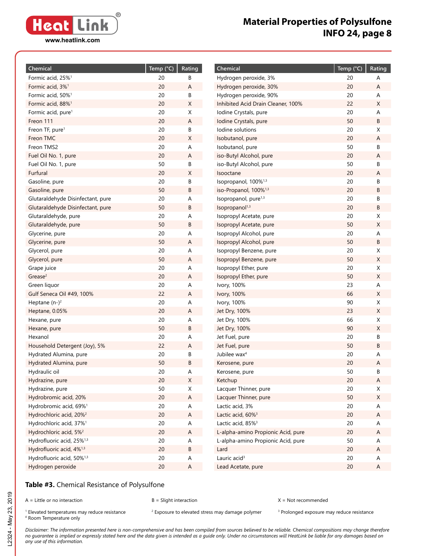

| Chemical                              | Temp (°C) | Rating |
|---------------------------------------|-----------|--------|
| Formic acid, 25% <sup>1</sup>         | 20        | В      |
| Formic acid, 3% <sup>1</sup>          | 20        | А      |
| Formic acid, 50% <sup>1</sup>         | 20        | В      |
| Formic acid, 88% <sup>1</sup>         | 20        | Χ      |
| Formic acid, pure <sup>1</sup>        | 20        | Χ      |
| Freon 111                             | 20        | Α      |
| Freon TF, pure <sup>1</sup>           | 20        | В      |
| Freon TMC                             | 20        | X      |
| Freon TMS2                            | 20        | A      |
| Fuel Oil No. 1, pure                  | 20        | A      |
| Fuel Oil No. 1, pure                  | 50        | В      |
| Furfural                              | 20        | Χ      |
| Gasoline, pure                        | 20        | В      |
| Gasoline, pure                        | 50        | В      |
| Glutaraldehyde Disinfectant, pure     | 20        | A      |
| Glutaraldehyde Disinfectant, pure     | 50        | В      |
| Glutaraldehyde, pure                  | 20        | A      |
| Glutaraldehyde, pure                  | 50        | В      |
| Glycerine, pure                       | 20        | Α      |
| Glycerine, pure                       | 50        | A      |
| Glycerol, pure                        | 20        | A      |
| Glycerol, pure                        | 50        | A      |
| Grape juice                           | 20        | Α      |
| Grease <sup>2</sup>                   | 20        | A      |
| Green liquor                          | 20        | Α      |
| Gulf Seneca Oil #49, 100%             | 22        | A      |
| Heptane $(n-)^2$                      | 20        | Α      |
| Heptane, 0.05%                        | 20        | A      |
| Hexane, pure                          | 20        | A      |
| Hexane, pure                          | 50        | В      |
| Hexanol                               | 20        | A      |
| Household Detergent (Joy), 5%         | 22        | A      |
| Hydrated Alumina, pure                | 20        | В      |
| Hydrated Alumina, pure                | 50        | B      |
| Hydraulic oil                         | 20        | Α      |
| Hydrazine, pure                       | 20        | Χ      |
| Hydrazine, pure                       | 50        | Χ      |
| Hydrobromic acid, 20%                 | 20        | Α      |
| Hydrobromic acid, 69% <sup>1</sup>    | 20        | А      |
| Hydrochloric acid, 20% <sup>2</sup>   | 20        | Α      |
| Hydrochloric acid, 37% <sup>1</sup>   | 20        | А      |
| Hydrochloric acid, 5% <sup>2</sup>    | 20        | Α      |
| Hydrofluoric acid, 25% <sup>1,3</sup> | 20        | Α      |
| Hydrofluoric acid, 4% <sup>1,3</sup>  | 20        | В      |
| Hydrofluoric acid, 50% <sup>1,3</sup> | 20        | A      |
| Hydrogen peroxide                     | 20        | Α      |

| Chemical                           | Temp (°C) | Rating |
|------------------------------------|-----------|--------|
| Hydrogen peroxide, 3%              | 20        | Α      |
| Hydrogen peroxide, 30%             | 20        | Α      |
| Hydrogen peroxide, 90%             | 20        | А      |
| Inhibited Acid Drain Cleaner, 100% | 22        | Χ      |
| Iodine Crystals, pure              | 20        | Α      |
| Iodine Crystals, pure              | 50        | В      |
| Iodine solutions                   | 20        | Χ      |
| Isobutanol, pure                   | 20        | Α      |
| Isobutanol, pure                   | 50        | B      |
| iso-Butyl Alcohol, pure            | 20        | A      |
| iso-Butyl Alcohol, pure            | 50        | В      |
| Isooctane                          | 20        | Α      |
| Isopropanol, 100% <sup>1,3</sup>   | 20        | В      |
| iso-Propanol, 100% <sup>1,3</sup>  | 20        | B      |
| Isopropanol, pure <sup>1,3</sup>   | 20        | В      |
| Isopropanol <sup>1,3</sup>         | 20        | В      |
| Isopropyl Acetate, pure            | 20        | Χ      |
| Isopropyl Acetate, pure            | 50        | Χ      |
| Isopropyl Alcohol, pure            | 20        | A      |
| Isopropyl Alcohol, pure            | 50        | В      |
| Isopropyl Benzene, pure            | 20        | Χ      |
| Isopropyl Benzene, pure            | 50        | Χ      |
| Isopropyl Ether, pure              | 20        | Χ      |
| Isopropyl Ether, pure              | 50        | Χ      |
| Ivory, 100%                        | 23        | Α      |
| Ivory, 100%                        | 66        | Χ      |
| Ivory, 100%                        | 90        | Χ      |
| Jet Dry, 100%                      | 23        | Χ      |
| Jet Dry, 100%                      | 66        | Χ      |
| Jet Dry, 100%                      | 90        | Χ      |
| Jet Fuel, pure                     | 20        | В      |
| Jet Fuel, pure                     | 50        | B      |
| Jubilee wax <sup>4</sup>           | 20        | A      |
| Kerosene, pure                     | 20        | Α      |
| Kerosene, pure                     | 50        | В      |
| Ketchup                            | 20        | A      |
| Lacquer Thinner, pure              | 20        | Χ      |
| Lacquer Thinner, pure              | 50        | Χ      |
| Lactic acid, 3%                    | 20        | А      |
| Lactic acid, 60% <sup>3</sup>      | 20        | Α      |
| Lactic acid, 85% <sup>3</sup>      | 20        | A      |
| L-alpha-amino Propionic Acid, pure | 20        | Α      |
| L-alpha-amino Propionic Acid, pure | 50        | A      |
| Lard                               | 20        | Α      |
| Lauric acid <sup>3</sup>           | 20        | Α      |
| Lead Acetate, pure                 | 20        | Α      |

#### **Table #3.** Chemical Resistance of Polysulfone

A = Little or no interaction B = Slight interaction X = Not recommended

 $1$  Elevated temperatures may reduce resistance  $2$ <sup>1</sup> Elevated temperatures may reduce resistance and a <sup>2</sup> Exposure to elevated stress may damage polymer and Prolonged exposure may reduce resistance and the stress may reduce resistance and the stress and the stress are a <sup>4</sup> Room Temperature only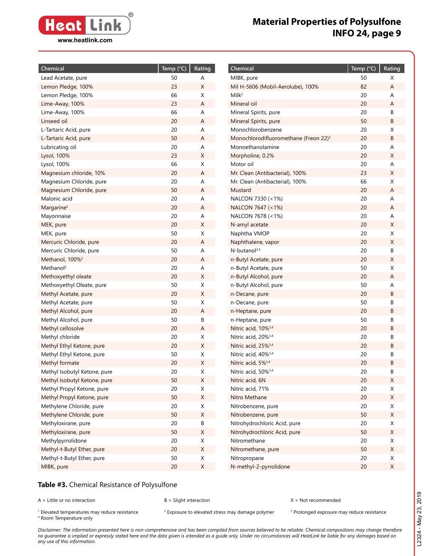

**Chemical Temp (°C) Rating**

| 50<br>Lead Acetate, pure<br>А<br>23<br>Χ<br>Lemon Pledge, 100%<br>66<br>Χ<br>Lemon Pledge, 100%<br>23<br>Lime-Away, 100%<br>Α<br>66<br>Lime-Away, 100%<br>Α<br>20<br>Linseed oil<br>Α<br>L-Tartaric Acid, pure<br>20<br>Α<br>50<br>L-Tartaric Acid, pure<br>Α<br>Lubricating oil<br>20<br>A<br>23<br>Lysol, 100%<br>Χ<br>66<br>Lysol, 100%<br>X<br>Magnesium chloride, 10%<br>20<br>Α<br>20<br>Magnesium Chloride, pure<br>Α<br>50<br>Magnesium Chloride, pure<br>Α<br>Malonic acid<br>20<br>Α<br>20<br>Α<br>Margarine <sup>2</sup><br>20<br>Mayonnaise<br>Α<br>20<br>Χ<br>MEK, pure<br>50<br>X<br>MEK, pure<br>20<br>Mercuric Chloride, pure<br>А<br>50<br>Mercuric Chloride, pure<br>Α<br>Methanol, 100% <sup>2</sup><br>20<br>Α<br>Methanol <sup>2</sup><br>20<br>A<br>Methoxyethyl oleate<br>20<br>X<br>50<br>Χ<br>Methoxyethyl Oleate, pure<br>20<br>Χ<br>Methyl Acetate, pure<br>50<br>Χ<br>Methyl Acetate, pure<br>Methyl Alcohol, pure<br>20<br>Α<br>50<br>Methyl Alcohol, pure<br>В<br>Methyl cellosolve<br>20<br>Α<br>20<br>Methyl chloride<br>X<br>Methyl Ethyl Ketone, pure<br>20<br>X<br>Methyl Ethyl Ketone, pure<br>50<br>X<br>20<br>Methyl formate<br>X<br>20<br>Methyl Isobutyl Ketone, pure<br>X<br>Methyl Isobutyl Ketone, pure<br>50<br>Χ<br>20<br>Methyl Propyl Ketone, pure<br>Χ<br>Methyl Propyl Ketone, pure<br>50<br>Χ<br>Methylene Chloride, pure<br>20<br>Χ<br>Methylene Chloride, pure<br>50<br>X<br>Methyloxirane, pure<br>20<br>В<br>50<br>Χ<br>Methyloxirane, pure<br>Methylpyrrolidone<br>20<br>Χ<br>Methyl-t-Butyl Ether, pure<br>$20\,$<br>Χ<br>50<br>Χ<br>Methyl-t-Butyl Ether, pure | Chemical   | Temp (°C) | Rating |
|-------------------------------------------------------------------------------------------------------------------------------------------------------------------------------------------------------------------------------------------------------------------------------------------------------------------------------------------------------------------------------------------------------------------------------------------------------------------------------------------------------------------------------------------------------------------------------------------------------------------------------------------------------------------------------------------------------------------------------------------------------------------------------------------------------------------------------------------------------------------------------------------------------------------------------------------------------------------------------------------------------------------------------------------------------------------------------------------------------------------------------------------------------------------------------------------------------------------------------------------------------------------------------------------------------------------------------------------------------------------------------------------------------------------------------------------------------------------------------------------------------------------------------------------------------------------------------------------------------------------------|------------|-----------|--------|
|                                                                                                                                                                                                                                                                                                                                                                                                                                                                                                                                                                                                                                                                                                                                                                                                                                                                                                                                                                                                                                                                                                                                                                                                                                                                                                                                                                                                                                                                                                                                                                                                                         |            |           |        |
|                                                                                                                                                                                                                                                                                                                                                                                                                                                                                                                                                                                                                                                                                                                                                                                                                                                                                                                                                                                                                                                                                                                                                                                                                                                                                                                                                                                                                                                                                                                                                                                                                         |            |           |        |
|                                                                                                                                                                                                                                                                                                                                                                                                                                                                                                                                                                                                                                                                                                                                                                                                                                                                                                                                                                                                                                                                                                                                                                                                                                                                                                                                                                                                                                                                                                                                                                                                                         |            |           |        |
|                                                                                                                                                                                                                                                                                                                                                                                                                                                                                                                                                                                                                                                                                                                                                                                                                                                                                                                                                                                                                                                                                                                                                                                                                                                                                                                                                                                                                                                                                                                                                                                                                         |            |           |        |
|                                                                                                                                                                                                                                                                                                                                                                                                                                                                                                                                                                                                                                                                                                                                                                                                                                                                                                                                                                                                                                                                                                                                                                                                                                                                                                                                                                                                                                                                                                                                                                                                                         |            |           |        |
|                                                                                                                                                                                                                                                                                                                                                                                                                                                                                                                                                                                                                                                                                                                                                                                                                                                                                                                                                                                                                                                                                                                                                                                                                                                                                                                                                                                                                                                                                                                                                                                                                         |            |           |        |
|                                                                                                                                                                                                                                                                                                                                                                                                                                                                                                                                                                                                                                                                                                                                                                                                                                                                                                                                                                                                                                                                                                                                                                                                                                                                                                                                                                                                                                                                                                                                                                                                                         |            |           |        |
|                                                                                                                                                                                                                                                                                                                                                                                                                                                                                                                                                                                                                                                                                                                                                                                                                                                                                                                                                                                                                                                                                                                                                                                                                                                                                                                                                                                                                                                                                                                                                                                                                         |            |           |        |
|                                                                                                                                                                                                                                                                                                                                                                                                                                                                                                                                                                                                                                                                                                                                                                                                                                                                                                                                                                                                                                                                                                                                                                                                                                                                                                                                                                                                                                                                                                                                                                                                                         |            |           |        |
|                                                                                                                                                                                                                                                                                                                                                                                                                                                                                                                                                                                                                                                                                                                                                                                                                                                                                                                                                                                                                                                                                                                                                                                                                                                                                                                                                                                                                                                                                                                                                                                                                         |            |           |        |
|                                                                                                                                                                                                                                                                                                                                                                                                                                                                                                                                                                                                                                                                                                                                                                                                                                                                                                                                                                                                                                                                                                                                                                                                                                                                                                                                                                                                                                                                                                                                                                                                                         |            |           |        |
|                                                                                                                                                                                                                                                                                                                                                                                                                                                                                                                                                                                                                                                                                                                                                                                                                                                                                                                                                                                                                                                                                                                                                                                                                                                                                                                                                                                                                                                                                                                                                                                                                         |            |           |        |
|                                                                                                                                                                                                                                                                                                                                                                                                                                                                                                                                                                                                                                                                                                                                                                                                                                                                                                                                                                                                                                                                                                                                                                                                                                                                                                                                                                                                                                                                                                                                                                                                                         |            |           |        |
|                                                                                                                                                                                                                                                                                                                                                                                                                                                                                                                                                                                                                                                                                                                                                                                                                                                                                                                                                                                                                                                                                                                                                                                                                                                                                                                                                                                                                                                                                                                                                                                                                         |            |           |        |
|                                                                                                                                                                                                                                                                                                                                                                                                                                                                                                                                                                                                                                                                                                                                                                                                                                                                                                                                                                                                                                                                                                                                                                                                                                                                                                                                                                                                                                                                                                                                                                                                                         |            |           |        |
|                                                                                                                                                                                                                                                                                                                                                                                                                                                                                                                                                                                                                                                                                                                                                                                                                                                                                                                                                                                                                                                                                                                                                                                                                                                                                                                                                                                                                                                                                                                                                                                                                         |            |           |        |
|                                                                                                                                                                                                                                                                                                                                                                                                                                                                                                                                                                                                                                                                                                                                                                                                                                                                                                                                                                                                                                                                                                                                                                                                                                                                                                                                                                                                                                                                                                                                                                                                                         |            |           |        |
|                                                                                                                                                                                                                                                                                                                                                                                                                                                                                                                                                                                                                                                                                                                                                                                                                                                                                                                                                                                                                                                                                                                                                                                                                                                                                                                                                                                                                                                                                                                                                                                                                         |            |           |        |
|                                                                                                                                                                                                                                                                                                                                                                                                                                                                                                                                                                                                                                                                                                                                                                                                                                                                                                                                                                                                                                                                                                                                                                                                                                                                                                                                                                                                                                                                                                                                                                                                                         |            |           |        |
|                                                                                                                                                                                                                                                                                                                                                                                                                                                                                                                                                                                                                                                                                                                                                                                                                                                                                                                                                                                                                                                                                                                                                                                                                                                                                                                                                                                                                                                                                                                                                                                                                         |            |           |        |
|                                                                                                                                                                                                                                                                                                                                                                                                                                                                                                                                                                                                                                                                                                                                                                                                                                                                                                                                                                                                                                                                                                                                                                                                                                                                                                                                                                                                                                                                                                                                                                                                                         |            |           |        |
|                                                                                                                                                                                                                                                                                                                                                                                                                                                                                                                                                                                                                                                                                                                                                                                                                                                                                                                                                                                                                                                                                                                                                                                                                                                                                                                                                                                                                                                                                                                                                                                                                         |            |           |        |
|                                                                                                                                                                                                                                                                                                                                                                                                                                                                                                                                                                                                                                                                                                                                                                                                                                                                                                                                                                                                                                                                                                                                                                                                                                                                                                                                                                                                                                                                                                                                                                                                                         |            |           |        |
|                                                                                                                                                                                                                                                                                                                                                                                                                                                                                                                                                                                                                                                                                                                                                                                                                                                                                                                                                                                                                                                                                                                                                                                                                                                                                                                                                                                                                                                                                                                                                                                                                         |            |           |        |
|                                                                                                                                                                                                                                                                                                                                                                                                                                                                                                                                                                                                                                                                                                                                                                                                                                                                                                                                                                                                                                                                                                                                                                                                                                                                                                                                                                                                                                                                                                                                                                                                                         |            |           |        |
|                                                                                                                                                                                                                                                                                                                                                                                                                                                                                                                                                                                                                                                                                                                                                                                                                                                                                                                                                                                                                                                                                                                                                                                                                                                                                                                                                                                                                                                                                                                                                                                                                         |            |           |        |
|                                                                                                                                                                                                                                                                                                                                                                                                                                                                                                                                                                                                                                                                                                                                                                                                                                                                                                                                                                                                                                                                                                                                                                                                                                                                                                                                                                                                                                                                                                                                                                                                                         |            |           |        |
|                                                                                                                                                                                                                                                                                                                                                                                                                                                                                                                                                                                                                                                                                                                                                                                                                                                                                                                                                                                                                                                                                                                                                                                                                                                                                                                                                                                                                                                                                                                                                                                                                         |            |           |        |
|                                                                                                                                                                                                                                                                                                                                                                                                                                                                                                                                                                                                                                                                                                                                                                                                                                                                                                                                                                                                                                                                                                                                                                                                                                                                                                                                                                                                                                                                                                                                                                                                                         |            |           |        |
|                                                                                                                                                                                                                                                                                                                                                                                                                                                                                                                                                                                                                                                                                                                                                                                                                                                                                                                                                                                                                                                                                                                                                                                                                                                                                                                                                                                                                                                                                                                                                                                                                         |            |           |        |
|                                                                                                                                                                                                                                                                                                                                                                                                                                                                                                                                                                                                                                                                                                                                                                                                                                                                                                                                                                                                                                                                                                                                                                                                                                                                                                                                                                                                                                                                                                                                                                                                                         |            |           |        |
|                                                                                                                                                                                                                                                                                                                                                                                                                                                                                                                                                                                                                                                                                                                                                                                                                                                                                                                                                                                                                                                                                                                                                                                                                                                                                                                                                                                                                                                                                                                                                                                                                         |            |           |        |
|                                                                                                                                                                                                                                                                                                                                                                                                                                                                                                                                                                                                                                                                                                                                                                                                                                                                                                                                                                                                                                                                                                                                                                                                                                                                                                                                                                                                                                                                                                                                                                                                                         |            |           |        |
|                                                                                                                                                                                                                                                                                                                                                                                                                                                                                                                                                                                                                                                                                                                                                                                                                                                                                                                                                                                                                                                                                                                                                                                                                                                                                                                                                                                                                                                                                                                                                                                                                         |            |           |        |
|                                                                                                                                                                                                                                                                                                                                                                                                                                                                                                                                                                                                                                                                                                                                                                                                                                                                                                                                                                                                                                                                                                                                                                                                                                                                                                                                                                                                                                                                                                                                                                                                                         |            |           |        |
|                                                                                                                                                                                                                                                                                                                                                                                                                                                                                                                                                                                                                                                                                                                                                                                                                                                                                                                                                                                                                                                                                                                                                                                                                                                                                                                                                                                                                                                                                                                                                                                                                         |            |           |        |
|                                                                                                                                                                                                                                                                                                                                                                                                                                                                                                                                                                                                                                                                                                                                                                                                                                                                                                                                                                                                                                                                                                                                                                                                                                                                                                                                                                                                                                                                                                                                                                                                                         |            |           |        |
|                                                                                                                                                                                                                                                                                                                                                                                                                                                                                                                                                                                                                                                                                                                                                                                                                                                                                                                                                                                                                                                                                                                                                                                                                                                                                                                                                                                                                                                                                                                                                                                                                         |            |           |        |
|                                                                                                                                                                                                                                                                                                                                                                                                                                                                                                                                                                                                                                                                                                                                                                                                                                                                                                                                                                                                                                                                                                                                                                                                                                                                                                                                                                                                                                                                                                                                                                                                                         |            |           |        |
|                                                                                                                                                                                                                                                                                                                                                                                                                                                                                                                                                                                                                                                                                                                                                                                                                                                                                                                                                                                                                                                                                                                                                                                                                                                                                                                                                                                                                                                                                                                                                                                                                         |            |           |        |
|                                                                                                                                                                                                                                                                                                                                                                                                                                                                                                                                                                                                                                                                                                                                                                                                                                                                                                                                                                                                                                                                                                                                                                                                                                                                                                                                                                                                                                                                                                                                                                                                                         |            |           |        |
|                                                                                                                                                                                                                                                                                                                                                                                                                                                                                                                                                                                                                                                                                                                                                                                                                                                                                                                                                                                                                                                                                                                                                                                                                                                                                                                                                                                                                                                                                                                                                                                                                         |            |           |        |
|                                                                                                                                                                                                                                                                                                                                                                                                                                                                                                                                                                                                                                                                                                                                                                                                                                                                                                                                                                                                                                                                                                                                                                                                                                                                                                                                                                                                                                                                                                                                                                                                                         |            |           |        |
|                                                                                                                                                                                                                                                                                                                                                                                                                                                                                                                                                                                                                                                                                                                                                                                                                                                                                                                                                                                                                                                                                                                                                                                                                                                                                                                                                                                                                                                                                                                                                                                                                         |            |           |        |
|                                                                                                                                                                                                                                                                                                                                                                                                                                                                                                                                                                                                                                                                                                                                                                                                                                                                                                                                                                                                                                                                                                                                                                                                                                                                                                                                                                                                                                                                                                                                                                                                                         |            |           |        |
|                                                                                                                                                                                                                                                                                                                                                                                                                                                                                                                                                                                                                                                                                                                                                                                                                                                                                                                                                                                                                                                                                                                                                                                                                                                                                                                                                                                                                                                                                                                                                                                                                         | MIBK, pure | 20        | Χ      |

| MIBK, pure                                        | 50 | Χ |
|---------------------------------------------------|----|---|
| Mil H-5606 (Mobil-Aerolube), 100%                 | 82 | A |
| Milk <sup>2</sup>                                 | 20 | Α |
| Mineral oil                                       | 20 | A |
| Mineral Spirits, pure                             | 20 | В |
| Mineral Spirits, pure                             | 50 | B |
| Monochlorobenzene                                 | 20 | Χ |
| Monochlorodifluoromethane (Freon 22) <sup>3</sup> | 20 | В |
| Monoethanolamine                                  | 20 | Α |
| Morpholine, 0.2%                                  | 20 | Χ |
| Motor oil                                         | 20 | Α |
| Mr. Clean (Antibacterial), 100%                   | 23 | Χ |
| Mr. Clean (Antibacterial), 100%                   | 66 | Χ |
| Mustard                                           | 20 | Α |
| NALCON 7330 (<1%)                                 | 20 | A |
| NALCON 7647 (<1%)                                 | 20 | A |
| NALCON 7678 (<1%)                                 | 20 | Α |
| N-amyl acetate                                    | 20 | Χ |
| Naphtha VMOP                                      | 20 | Χ |
| Naphthalene, vapor                                | 20 | Χ |
| N-butanol <sup>3,4</sup>                          | 20 | B |
| n-Butyl Acetate, pure                             | 20 | Χ |
| n-Butyl Acetate, pure                             | 50 | Χ |
| n-Butyl Alcohol, pure                             | 20 | A |
| n-Butyl Alcohol, pure                             | 50 | A |
| n-Decane, pure                                    | 20 | В |
| n-Decane, pure                                    | 50 | В |
| n-Heptane, pure                                   | 20 | В |
| n-Heptane, pure                                   | 50 | В |
| Nitric acid, 10% <sup>3,4</sup>                   | 20 | В |
| Nitric acid, 20% <sup>3,4</sup>                   | 20 | В |
| Nitric acid, 25% <sup>3,4</sup>                   | 20 | В |
| Nitric acid, 40% <sup>3,4</sup>                   | 20 | В |
| Nitric acid, 5% <sup>3,4</sup>                    | 20 | B |
| Nitric acid, 50% <sup>3,4</sup>                   | 20 | В |
| Nitric acid, 6N                                   | 20 | Χ |
| Nitric acid, 71%                                  | 20 | Χ |
| Nitro Methane                                     | 20 | Χ |
| Nitrobenzene, pure                                | 20 | Χ |
| Nitrobenzene, pure                                | 50 | Χ |
| Nitrohydrochloric Acid, pure                      | 20 | Χ |
| Nitrohydrochloric Acid, pure                      | 50 | Χ |
| Nitromethane                                      | 20 | Χ |
| Nitromethane, pure                                | 50 | Χ |
| Nitropropane                                      | 20 | Χ |
| N-methyl-2-pyrrolidone                            | 20 | Χ |
|                                                   |    |   |

#### **Table #3.** Chemical Resistance of Polysulfone

A = Little or no interaction B = Slight interaction X = Not recommended

 $1$  Elevated temperatures may reduce resistance  $2$ <sup>1</sup> Elevated temperatures may reduce resistance and a <sup>2</sup> Exposure to elevated stress may damage polymer and Prolonged exposure may reduce resistance and the stress may reduce resistance and the stress and the stress are a <sup>4</sup> Room Temperature only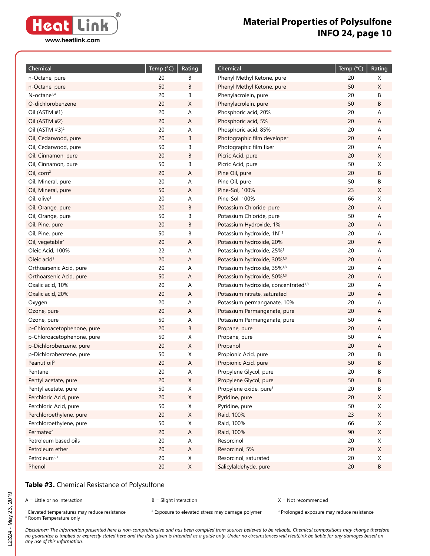**® Heat Link www.heatlink.com**

# **Material Properties of Polysulfone INFO 24, page 10**

| Chemical                      | Temp (°C) | Rating |
|-------------------------------|-----------|--------|
| n-Octane, pure                | 20        | В      |
| n-Octane, pure                | 50        | В      |
| $N$ -octane $3,4$             | 20        | В      |
| O-dichlorobenzene             | 20        | Χ      |
| Oil (ASTM #1)                 | 20        | A      |
| Oil (ASTM #2)                 | 20        | A      |
| Oil (ASTM $#3$ ) <sup>2</sup> | 20        | Α      |
| Oil, Cedarwood, pure          | 20        | В      |
| Oil, Cedarwood, pure          | 50        | В      |
| Oil, Cinnamon, pure           | 20        | В      |
| Oil, Cinnamon, pure           | 50        | В      |
| Oil, corn <sup>2</sup>        | 20        | A      |
| Oil, Mineral, pure            | 20        | A      |
| Oil, Mineral, pure            | 50        | А      |
| Oil, olive <sup>3</sup>       | 20        | A      |
| Oil, Orange, pure             | 20        | В      |
| Oil, Orange, pure             | 50        | В      |
| Oil, Pine, pure               | 20        | В      |
| Oil, Pine, pure               | 50        | В      |
| Oil, vegetable <sup>2</sup>   | 20        | Α      |
| Oleic Acid, 100%              | 22        | A      |
| Oleic acid <sup>2</sup>       | 20        | Α      |
| Orthoarsenic Acid, pure       | 20        | A      |
| Orthoarsenic Acid, pure       | 50        | А      |
| Oxalic acid, 10%              | 20        | A      |
| Oxalic acid, 20%              | 20        | Α      |
| Oxygen                        | 20        | Α      |
| Ozone, pure                   | 20        | Α      |
| Ozone, pure                   | 50        | Α      |
| p-Chloroacetophenone, pure    | 20        | B      |
| p-Chloroacetophenone, pure    | 50        | Χ      |
| p-Dichlorobenzene, pure       | 20        | Χ      |
| p-Dichlorobenzene, pure       | 50        | Χ      |
| Peanut oil <sup>2</sup>       | 20        | А      |
| Pentane                       | 20        | A      |
| Pentyl acetate, pure          | 20        | х      |
| Pentyl acetate, pure          | 50        | Χ      |
| Perchloric Acid, pure         | 20        | Χ      |
| Perchloric Acid, pure         | 50        | X      |
| Perchloroethylene, pure       | 20        | Χ      |
| Perchloroethylene, pure       | 50        | Χ      |
| Permatex <sup>2</sup>         | 20        | Α      |
| Petroleum based oils          | 20        | Α      |
| Petroleum ether               | 20        | Α      |
| Petroleum <sup>2,3</sup>      | 20        | Χ      |
| Phenol                        | 20        | Χ      |

| Chemical                                         | Temp (°C) | Rating |
|--------------------------------------------------|-----------|--------|
| Phenyl Methyl Ketone, pure                       | 20        | Χ      |
| Phenyl Methyl Ketone, pure                       | 50        | Χ      |
| Phenylacrolein, pure                             | 20        | В      |
| Phenylacrolein, pure                             | 50        | В      |
| Phosphoric acid, 20%                             | 20        | A      |
| Phosphoric acid, 5%                              | 20        | Α      |
| Phosphoric acid, 85%                             | 20        | A      |
| Photographic film developer                      | 20        | Α      |
| Photographic film fixer                          | 20        | A      |
| Picric Acid, pure                                | 20        | Χ      |
| Picric Acid, pure                                | 50        | Χ      |
| Pine Oil, pure                                   | 20        | B      |
| Pine Oil, pure                                   | 50        | В      |
| Pine-Sol, 100%                                   | 23        | X      |
| Pine-Sol, 100%                                   | 66        | Χ      |
| Potassium Chloride, pure                         | 20        | A      |
| Potassium Chloride, pure                         | 50        | A      |
| Potassium Hydroxide, 1%                          | 20        | A      |
| Potassium hydroxide, 1N <sup>1,3</sup>           | 20        | A      |
| Potassium hydroxide, 20%                         | 20        | А      |
| Potassium hydroxide, 25% <sup>1</sup>            | 20        | A      |
| Potassium hydroxide, 30% <sup>1,3</sup>          | 20        | А      |
| Potassium hydroxide, 35% <sup>1,3</sup>          | 20        | A      |
| Potassium hydroxide, 50% <sup>1,3</sup>          | 20        | А      |
| Potassium hydroxide, concentrated <sup>1,3</sup> | 20        | A      |
| Potassium nitrate, saturated                     | 20        | A      |
| Potassium permanganate, 10%                      | 20        | A      |
| Potassium Permanganate, pure                     | 20        | A      |
| Potassium Permanganate, pure                     | 50        | A      |
| Propane, pure                                    | 20        | A      |
| Propane, pure                                    | 50        | Α      |
| Propanol                                         | 20        | А      |
| Propionic Acid, pure                             | 20        | В      |
| Propionic Acid, pure                             | 50        | В      |
| Propylene Glycol, pure                           | 20        | В      |
| Propylene Glycol, pure                           | 50        | B      |
| Propylene oxide, pure <sup>3</sup>               | 20        | В      |
| Pyridine, pure                                   | 20<br>50  | Χ<br>Χ |
| Pyridine, pure<br>Raid, 100%                     | 23        | Χ      |
|                                                  | 66        | Χ      |
| Raid, 100%<br>Raid, 100%                         | 90        | Χ      |
| Resorcinol                                       | 20        | Χ      |
| Resorcinol, 5%                                   | 20        | Χ      |
| Resorcinol, saturated                            | 20        | Χ      |
| Salicylaldehyde, pure                            | 20        | В      |
|                                                  |           |        |

### **Table #3.** Chemical Resistance of Polysulfone

A = Little or no interaction B = Slight interaction X = Not recommended

 $1$  Elevated temperatures may reduce resistance  $2$ <sup>1</sup> Elevated temperatures may reduce resistance and a <sup>2</sup> Exposure to elevated stress may damage polymer and Prolonged exposure may reduce resistance and the stress may reduce resistance and the stress and the stress are a <sup>4</sup> Room Temperature only

L2324 - May 23, 2019 L2324 - May 23, 2019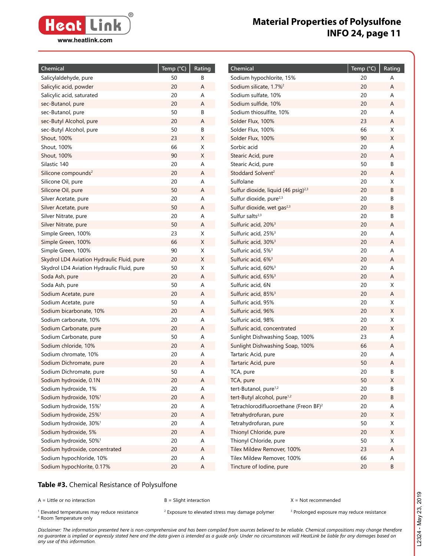

| Chemical                                   | Temp $(^{\circ}C)$ | Rating      | Chemical                                          | Temp (°C) | Rating |
|--------------------------------------------|--------------------|-------------|---------------------------------------------------|-----------|--------|
| Salicylaldehyde, pure                      | 50                 | В           | Sodium hypochlorite, 15%                          | 20        | Α      |
| Salicylic acid, powder                     | 20                 | Α           | Sodium silicate, 1.7% <sup>2</sup>                | 20        | Α      |
| Salicylic acid, saturated                  | 20                 | Α           | Sodium sulfate, 10%                               | 20        | Α      |
| sec-Butanol, pure                          | 20                 | Α           | Sodium sulfide, 10%                               | 20        | Α      |
| sec-Butanol, pure                          | 50                 | В           | Sodium thiosulfite, 10%                           | 20        | Α      |
| sec-Butyl Alcohol, pure                    | 20                 | Α           | Solder Flux, 100%                                 | 23        | A      |
| sec-Butyl Alcohol, pure                    | 50                 | В           | Solder Flux, 100%                                 | 66        | X      |
| Shout, 100%                                | 23                 | X           | Solder Flux, 100%                                 | 90        | X      |
| Shout, 100%                                | 66                 | Χ           | Sorbic acid                                       | 20        | Α      |
| Shout, 100%                                | 90                 | X           | Stearic Acid, pure                                | 20        | A      |
| Silastic 140                               | 20                 | А           | Stearic Acid, pure                                | 50        | В      |
| Silicone compounds <sup>2</sup>            | 20                 | A           | Stoddard Solvent <sup>2</sup>                     | 20        | А      |
| Silicone Oil, pure                         | 20                 | Α           | Sulfolane                                         | 20        | Χ      |
| Silicone Oil, pure                         | 50                 | A           | Sulfur dioxide, liquid (46 psig) <sup>2,3</sup>   | 20        | В      |
| Silver Acetate, pure                       | 20                 | А           | Sulfur dioxide, pure <sup>2,3</sup>               | 20        | В      |
| Silver Acetate, pure                       | 50                 | Α           | Sulfur dioxide, wet gas <sup>2,3</sup>            | 20        | B      |
| Silver Nitrate, pure                       | 20                 | Α           | Sulfur salts $2,3$                                | 20        | В      |
| Silver Nitrate, pure                       | 50                 | Α           | Sulfuric acid, 20% <sup>3</sup>                   | 20        | А      |
| Simple Green, 100%                         | 23                 | X           | Sulfuric acid, 25% <sup>3</sup>                   | 20        | Α      |
| Simple Green, 100%                         | 66                 | X           | Sulfuric acid, 30% <sup>3</sup>                   | 20        | Α      |
| Simple Green, 100%                         | 90                 | X           | Sulfuric acid, 5% <sup>3</sup>                    | 20        | Α      |
| Skydrol LD4 Aviation Hydraulic Fluid, pure | 20                 | X           | Sulfuric acid, 6% <sup>3</sup>                    | 20        | Α      |
| Skydrol LD4 Aviation Hydraulic Fluid, pure | 50                 | Χ           | Sulfuric acid, 60% <sup>3</sup>                   | 20        | Α      |
| Soda Ash, pure                             | 20                 | Α           | Sulfuric acid, 65% <sup>3</sup>                   | 20        | Α      |
| Soda Ash, pure                             | 50                 | Α           | Sulfuric acid, 6N                                 | 20        | X      |
| Sodium Acetate, pure                       | 20                 | Α           | Sulfuric acid, 85% <sup>3</sup>                   | 20        | A      |
| Sodium Acetate, pure                       | 50                 | Α           | Sulfuric acid, 95%                                | 20        | X      |
| Sodium bicarbonate, 10%                    | 20                 | Α           | Sulfuric acid, 96%                                | 20        | X      |
| Sodium carbonate, 10%                      | 20                 | Α           | Sulfuric acid, 98%                                | 20        | X      |
| Sodium Carbonate, pure                     | 20                 | Α           | Sulfuric acid, concentrated                       | 20        | X      |
| Sodium Carbonate, pure                     | 50                 | Α           | Sunlight Dishwashing Soap, 100%                   | 23        | Α      |
| Sodium chloride, 10%                       | 20                 | Α           | Sunlight Dishwashing Soap, 100%                   | 66        | Α      |
| Sodium chromate, 10%                       | 20                 | Α           | Tartaric Acid, pure                               | 20        | Α      |
| Sodium Dichromate, pure                    | 20                 | Α           | Tartaric Acid, pure                               | 50        | Α      |
| Sodium Dichromate, pure                    | 50                 | А           | TCA, pure                                         | 20        | В      |
| Sodium hydroxide, 0.1N                     | 20                 | Α           | TCA, pure                                         | 50        | X      |
| Sodium hydroxide, 1%                       | 20                 | Α           | tert-Butanol, pure <sup>1,2</sup>                 | 20        | В      |
| Sodium hydroxide, 10% <sup>1</sup>         | $20\,$             | $\mathsf A$ | tert-Butyl alcohol, pure <sup>1,2</sup>           | 20        | В      |
| Sodium hydroxide, 15% <sup>1</sup>         | 20                 | Α           | Tetrachlorodifluoroethane (Freon BF) <sup>2</sup> | 20        | Α      |
| Sodium hydroxide, 25% <sup>1</sup>         | $20\,$             | $\mathsf A$ | Tetrahydrofuran, pure                             | 20        | X      |
| Sodium hydroxide, 30% <sup>1</sup>         | 20                 | Α           | Tetrahydrofuran, pure                             | 50        | X      |
| Sodium hydroxide, 5%                       | $20\,$             | A           | Thionyl Chloride, pure                            | 20        | X      |
| Sodium hydroxide, 50% <sup>1</sup>         | 20                 | Α           | Thionyl Chloride, pure                            | 50        | X      |
| Sodium hydroxide, concentrated             | $20\,$             | $\mathsf A$ | Tilex Mildew Remover, 100%                        | 23        | Α      |
| Sodium hypochloride, 10%                   | 20                 | Α           | Tilex Mildew Remover, 100%                        | 66        | A      |
| Sodium hypochlorite, 0.17%                 | $20\,$             | $\mathsf A$ | Tincture of Iodine, pure                          | $20\,$    | В      |

#### **Table #3.** Chemical Resistance of Polysulfone

A = Little or no interaction B = Slight interaction X = Not recommended

 $1$  Elevated temperatures may reduce resistance  $2$ <sup>1</sup> Elevated temperatures may reduce resistance and a <sup>2</sup> Exposure to elevated stress may damage polymer and Prolonged exposure may reduce resistance and the stress may reduce resistance and the stress and the stress are a <sup>4</sup> Room Temperature only